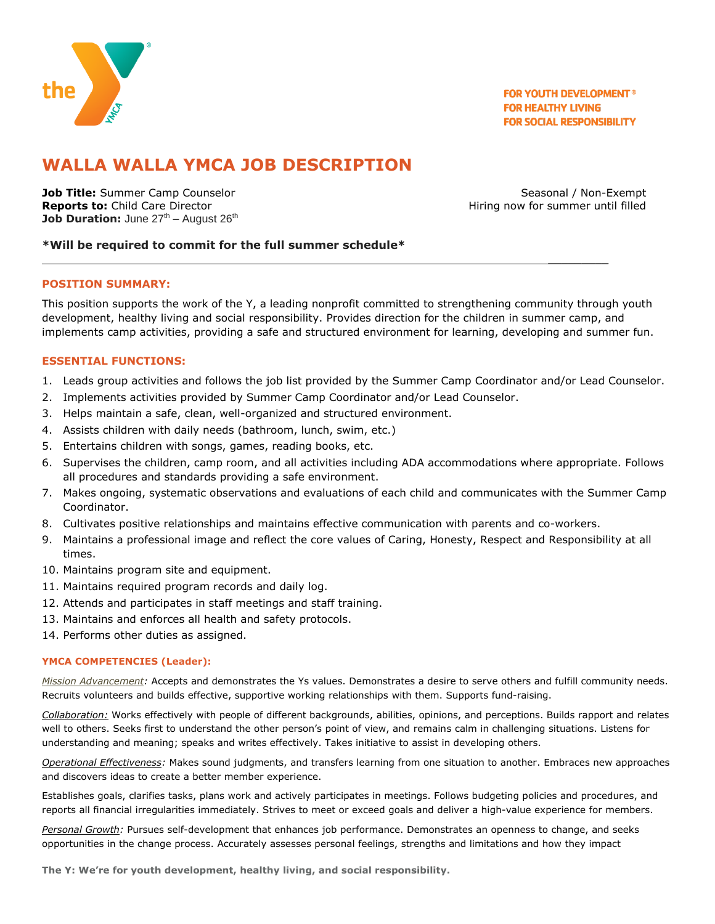

**FOR YOUTH DEVELOPMENT® FOR HEALTHY LIVING FOR SOCIAL RESPONSIBILITY** 

# **WALLA WALLA YMCA JOB DESCRIPTION**

**Job Title:** Summer Camp Counselor **Seasonal / Non-Exempt** Seasonal / Non-Exempt **Reports to:** Child Care Director **All and Care Accounts 2** and Accounts Hiring now for summer until filled **Job Duration:** June 27<sup>th</sup> – August 26<sup>th</sup>

 $\frac{1}{2}$ 

## **\*Will be required to commit for the full summer schedule\***

### **POSITION SUMMARY:**

This position supports the work of the Y, a leading nonprofit committed to strengthening community through youth development, healthy living and social responsibility. Provides direction for the children in summer camp, and implements camp activities, providing a safe and structured environment for learning, developing and summer fun.

### **ESSENTIAL FUNCTIONS:**

- 1. Leads group activities and follows the job list provided by the Summer Camp Coordinator and/or Lead Counselor.
- 2. Implements activities provided by Summer Camp Coordinator and/or Lead Counselor.
- 3. Helps maintain a safe, clean, well-organized and structured environment.
- 4. Assists children with daily needs (bathroom, lunch, swim, etc.)
- 5. Entertains children with songs, games, reading books, etc.
- 6. Supervises the children, camp room, and all activities including ADA accommodations where appropriate. Follows all procedures and standards providing a safe environment.
- 7. Makes ongoing, systematic observations and evaluations of each child and communicates with the Summer Camp Coordinator.
- 8. Cultivates positive relationships and maintains effective communication with parents and co-workers.
- 9. Maintains a professional image and reflect the core values of Caring, Honesty, Respect and Responsibility at all times.
- 10. Maintains program site and equipment.
- 11. Maintains required program records and daily log.
- 12. Attends and participates in staff meetings and staff training.
- 13. Maintains and enforces all health and safety protocols.
- 14. Performs other duties as assigned.

### **YMCA COMPETENCIES (Leader):**

*Mission Advancement:* Accepts and demonstrates the Ys values. Demonstrates a desire to serve others and fulfill community needs. Recruits volunteers and builds effective, supportive working relationships with them. Supports fund-raising.

*Collaboration:* Works effectively with people of different backgrounds, abilities, opinions, and perceptions. Builds rapport and relates well to others. Seeks first to understand the other person's point of view, and remains calm in challenging situations. Listens for understanding and meaning; speaks and writes effectively. Takes initiative to assist in developing others.

*Operational Effectiveness:* Makes sound judgments, and transfers learning from one situation to another. Embraces new approaches and discovers ideas to create a better member experience.

Establishes goals, clarifies tasks, plans work and actively participates in meetings. Follows budgeting policies and procedures, and reports all financial irregularities immediately. Strives to meet or exceed goals and deliver a high-value experience for members.

*Personal Growth:* Pursues self-development that enhances job performance. Demonstrates an openness to change, and seeks opportunities in the change process. Accurately assesses personal feelings, strengths and limitations and how they impact

**The Y: We're for youth development, healthy living, and social responsibility.**